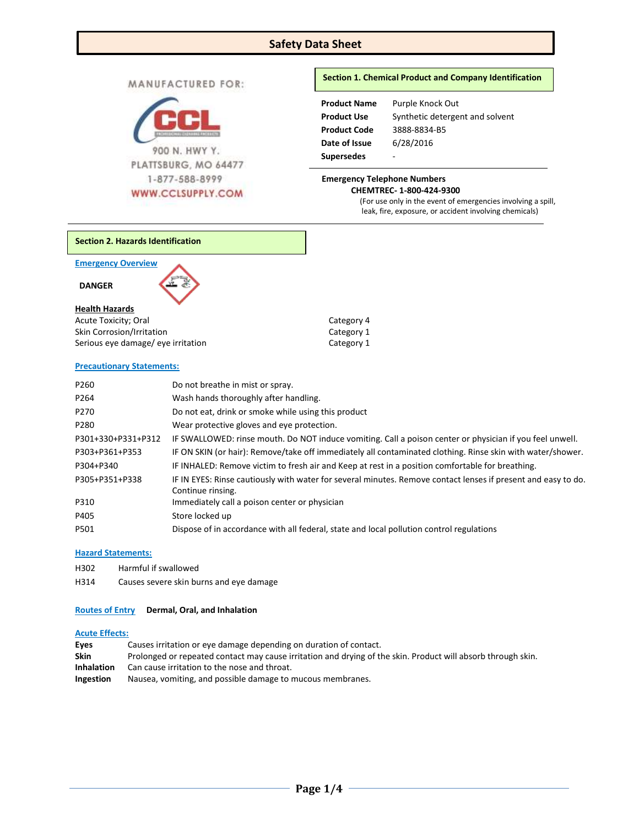## **Safety Data Sheet**

MANUFACTURED FOR:



## **Section 1. Chemical Product and Company Identification**

| <b>Product Name</b> | Purple Knock Out                |
|---------------------|---------------------------------|
| <b>Product Use</b>  | Synthetic detergent and solvent |
| <b>Product Code</b> | 3888-8834-B5                    |
| Date of Issue       | 6/28/2016                       |
| <b>Supersedes</b>   | -                               |

# **Emergency Telephone Numbers**

(For use only in the event of emergencies involving a spill, leak, fire, exposure, or accident involving chemicals)

**Section 2. Hazards Identification**

**Emergency Overview** 

 **DANGER** 

## **Health Hazards**

| Acute Toxicity; Oral               | Category 4 |
|------------------------------------|------------|
| <b>Skin Corrosion/Irritation</b>   | Category 1 |
| Serious eye damage/ eye irritation | Category 1 |

## **Precautionary Statements:**

| P260               | Do not breathe in mist or spray.                                                                              |
|--------------------|---------------------------------------------------------------------------------------------------------------|
| P <sub>264</sub>   | Wash hands thoroughly after handling.                                                                         |
| P270               | Do not eat, drink or smoke while using this product                                                           |
| P280               | Wear protective gloves and eye protection.                                                                    |
| P301+330+P331+P312 | IF SWALLOWED: rinse mouth. Do NOT induce vomiting. Call a poison center or physician if you feel unwell.      |
| P303+P361+P353     | IF ON SKIN (or hair): Remove/take off immediately all contaminated clothing. Rinse skin with water/shower.    |
| P304+P340          | IF INHALED: Remove victim to fresh air and Keep at rest in a position comfortable for breathing.              |
| P305+P351+P338     | IF IN EYES: Rinse cautiously with water for several minutes. Remove contact lenses if present and easy to do. |
|                    | Continue rinsing.                                                                                             |
| P310               | Immediately call a poison center or physician                                                                 |
| P405               | Store locked up                                                                                               |
| P501               | Dispose of in accordance with all federal, state and local pollution control regulations                      |

## **Hazard Statements:**

- H302 Harmful if swallowed
- H314 Causes severe skin burns and eye damage

## **Routes of Entry Dermal, Oral, and Inhalation**

## **Acute Effects:**

| Eyes              | Causes irritation or eye damage depending on duration of contact.                                            |
|-------------------|--------------------------------------------------------------------------------------------------------------|
| <b>Skin</b>       | Prolonged or repeated contact may cause irritation and drying of the skin. Product will absorb through skin. |
| <b>Inhalation</b> | Can cause irritation to the nose and throat.                                                                 |
| <b>Ingestion</b>  | Nausea, vomiting, and possible damage to mucous membranes.                                                   |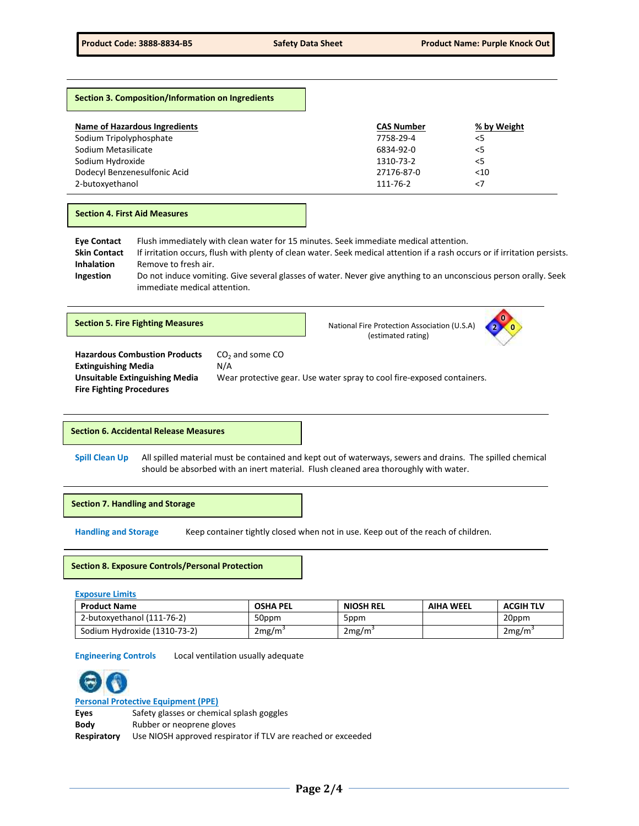## **Section 3. Composition/Information on Ingredients**

| Name of Hazardous Ingredients<br>Sodium Tripolyphosphate | <b>CAS Number</b><br>7758-29-4 | % by Weight<br>< 5 |
|----------------------------------------------------------|--------------------------------|--------------------|
| Sodium Metasilicate                                      | 6834-92-0                      | < 5                |
| Sodium Hydroxide                                         | 1310-73-2                      | < 5                |
| Dodecyl Benzenesulfonic Acid                             | 27176-87-0                     | $<$ 10             |
| 2-butoxyethanol                                          | 111-76-2                       | <7                 |

#### **Section 4. First Aid Measures**

**Eye Contact** Flush immediately with clean water for 15 minutes. Seek immediate medical attention. **Skin Contact** If irritation occurs, flush with plenty of clean water. Seek medical attention if a rash occurs or if irritation persists. **Inhalation** Remove to fresh air. **Ingestion** Do not induce vomiting. Give several glasses of water. Never give anything to an unconscious person orally. Seek immediate medical attention.

**Section 5. Fire Fighting Measures National Fire Protection Association (U.S.A)** National Fire Protection Association (U.S.A) (estimated rating)



**Hazardous Combustion Products** CO<sub>2</sub> and some CO **Extinguishing Media** N/A **Fire Fighting Procedures** 

**Unsuitable Extinguishing Media** Wear protective gear. Use water spray to cool fire-exposed containers.

#### **Section 6. Accidental Release Measures**

**Spill Clean Up** All spilled material must be contained and kept out of waterways, sewers and drains. The spilled chemical should be absorbed with an inert material. Flush cleaned area thoroughly with water.

**Section 7. Handling and Storage** 

**Handling and Storage** Keep container tightly closed when not in use. Keep out of the reach of children.

## **Section 8. Exposure Controls/Personal Protection**

| <b>Exposure Limits</b>       |                 |                  |                  |                  |
|------------------------------|-----------------|------------------|------------------|------------------|
| <b>Product Name</b>          | <b>OSHA PEL</b> | <b>NIOSH REL</b> | <b>AIHA WEEL</b> | <b>ACGIH TLV</b> |
| 2-butoxyethanol (111-76-2)   | 50ppm           | 5ppm             |                  | 20ppm            |
| Sodium Hydroxide (1310-73-2) | 2mg/m           | 2mg/m            |                  | 2mg/m            |

**Engineering Controls** Local ventilation usually adequate



**Personal Protective Equipment (PPE)**

**Eyes** Safety glasses or chemical splash goggles

**Body** Rubber or neoprene gloves

**Respiratory** Use NIOSH approved respirator if TLV are reached or exceeded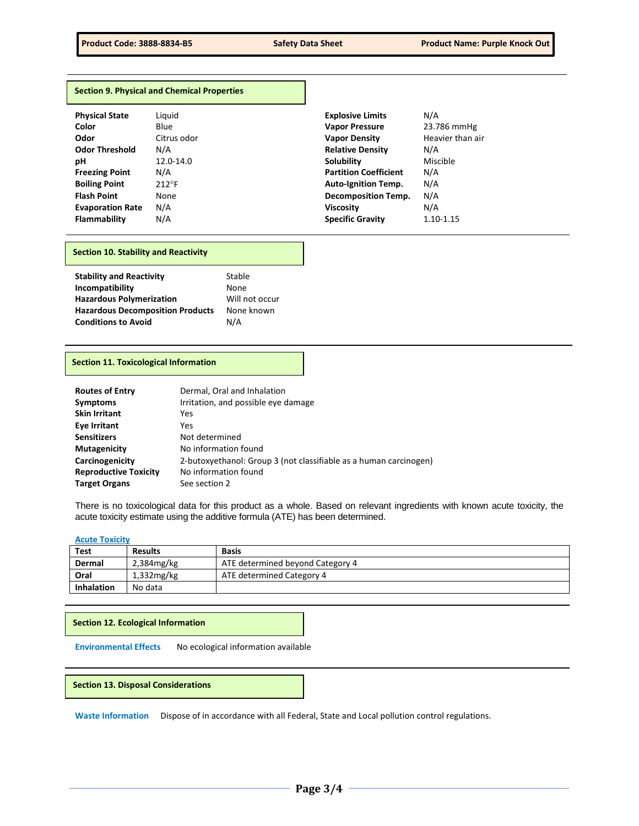#### **Section 9. Physical and Chemical Properties**

| <b>Physical State</b>   | Liquid          | <b>Explosive Limits</b>      | N/A        |
|-------------------------|-----------------|------------------------------|------------|
| Color                   | Blue            | <b>Vapor Pressure</b>        | 23.7       |
| Odor                    | Citrus odor     | <b>Vapor Density</b>         | Hea        |
| <b>Odor Threshold</b>   | N/A             | <b>Relative Density</b>      | N/A        |
| рH                      | 12.0-14.0       | <b>Solubility</b>            | <b>Mis</b> |
| <b>Freezing Point</b>   | N/A             | <b>Partition Coefficient</b> | N/A        |
| <b>Boiling Point</b>    | $212^{\circ}$ F | <b>Auto-Ignition Temp.</b>   | N/A        |
| <b>Flash Point</b>      | None            | <b>Decomposition Temp.</b>   | N/A        |
| <b>Evaporation Rate</b> | N/A             | <b>Viscosity</b>             | N/A        |
| <b>Flammability</b>     | N/A             | <b>Specific Gravity</b>      | 1.10       |

| <b>Physical State</b>   | Liguid         | <b>Explosive Limits</b>      | N/A              |
|-------------------------|----------------|------------------------------|------------------|
| Color                   | Blue           | <b>Vapor Pressure</b>        | 23.786 mmHg      |
| Odor                    | Citrus odor    | <b>Vapor Density</b>         | Heavier than air |
| <b>Odor Threshold</b>   | N/A            | <b>Relative Density</b>      | N/A              |
| pН                      | 12.0-14.0      | <b>Solubility</b>            | Miscible         |
| <b>Freezing Point</b>   | N/A            | <b>Partition Coefficient</b> | N/A              |
| <b>Boiling Point</b>    | $212^{\circ}F$ | <b>Auto-Ignition Temp.</b>   | N/A              |
| <b>Flash Point</b>      | None           | <b>Decomposition Temp.</b>   | N/A              |
| <b>Evaporation Rate</b> | N/A            | <b>Viscosity</b>             | N/A              |
| Flammability            | N/A            | <b>Specific Gravity</b>      | 1.10-1.15        |
|                         |                |                              |                  |

## **Section 10. Stability and Reactivity**

| <b>Stability and Reactivity</b>         | Stable         |
|-----------------------------------------|----------------|
| Incompatibility                         | None           |
| <b>Hazardous Polymerization</b>         | Will not occur |
| <b>Hazardous Decomposition Products</b> | None known     |
| <b>Conditions to Avoid</b>              | N/A            |

### **Section 11. Toxicological Information**

| <b>Routes of Entry</b>       | Dermal, Oral and Inhalation                                       |
|------------------------------|-------------------------------------------------------------------|
| <b>Symptoms</b>              | Irritation, and possible eye damage                               |
| <b>Skin Irritant</b>         | Yes                                                               |
| Eye Irritant                 | Yes                                                               |
| <b>Sensitizers</b>           | Not determined                                                    |
| <b>Mutagenicity</b>          | No information found                                              |
| Carcinogenicity              | 2-butoxyethanol: Group 3 (not classifiable as a human carcinogen) |
| <b>Reproductive Toxicity</b> | No information found                                              |
| <b>Target Organs</b>         | See section 2                                                     |

There is no toxicological data for this product as a whole. Based on relevant ingredients with known acute toxicity, the acute toxicity estimate using the additive formula (ATE) has been determined.

#### **Acute Toxicity**

| <b>Test</b>       | <b>Results</b> | <b>Basis</b>                     |
|-------------------|----------------|----------------------------------|
| Dermal            | $2,384$ mg/kg  | ATE determined beyond Category 4 |
| Oral              | $1,332$ mg/kg  | ATE determined Category 4        |
| <b>Inhalation</b> | No data        |                                  |

#### **Section 12. Ecological Information**

**Environmental Effects** No ecological information available

## **Section 13. Disposal Considerations**

**Waste Information** Dispose of in accordance with all Federal, State and Local pollution control regulations.